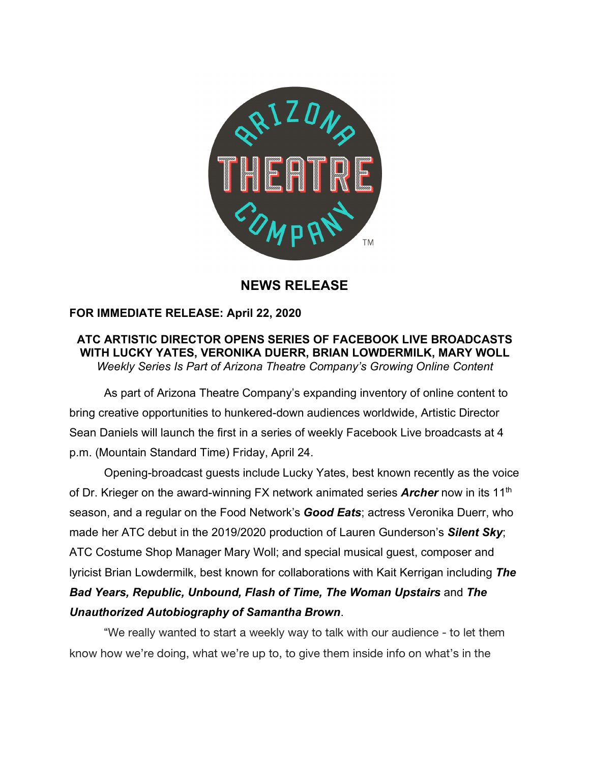

# **NEWS RELEASE**

## **FOR IMMEDIATE RELEASE: April 22, 2020**

### **ATC ARTISTIC DIRECTOR OPENS SERIES OF FACEBOOK LIVE BROADCASTS WITH LUCKY YATES, VERONIKA DUERR, BRIAN LOWDERMILK, MARY WOLL** *Weekly Series Is Part of Arizona Theatre Company's Growing Online Content*

As part of Arizona Theatre Company's expanding inventory of online content to bring creative opportunities to hunkered-down audiences worldwide, Artistic Director Sean Daniels will launch the first in a series of weekly Facebook Live broadcasts at 4 p.m. (Mountain Standard Time) Friday, April 24.

Opening-broadcast guests include Lucky Yates, best known recently as the voice of Dr. Krieger on the award-winning FX network animated series **Archer** now in its 11<sup>th</sup> season, and a regular on the Food Network's *Good Eats*; actress Veronika Duerr, who made her ATC debut in the 2019/2020 production of Lauren Gunderson's *Silent Sky*; ATC Costume Shop Manager Mary Woll; and special musical guest, composer and lyricist Brian Lowdermilk, best known for collaborations with Kait Kerrigan including *The Bad Years, Republic, Unbound, Flash of Time, The Woman Upstairs* and *The Unauthorized Autobiography of Samantha Brown*.

"We really wanted to start a weekly way to talk with our audience - to let them know how we're doing, what we're up to, to give them inside info on what's in the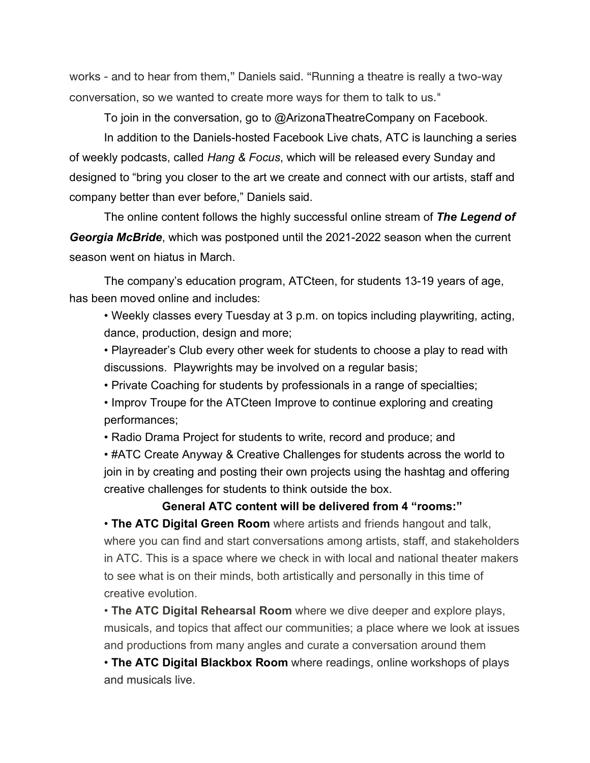works - and to hear from them," Daniels said. "Running a theatre is really a two-way conversation, so we wanted to create more ways for them to talk to us."

To join in the conversation, go to @ArizonaTheatreCompany on Facebook.

In addition to the Daniels-hosted Facebook Live chats, ATC is launching a series of weekly podcasts, called *Hang & Focus*, which will be released every Sunday and designed to "bring you closer to the art we create and connect with our artists, staff and company better than ever before," Daniels said.

The online content follows the highly successful online stream of *The Legend of Georgia McBride*, which was postponed until the 2021-2022 season when the current season went on hiatus in March.

The company's education program, ATCteen, for students 13-19 years of age, has been moved online and includes:

• Weekly classes every Tuesday at 3 p.m. on topics including playwriting, acting, dance, production, design and more;

• Playreader's Club every other week for students to choose a play to read with discussions. Playwrights may be involved on a regular basis;

• Private Coaching for students by professionals in a range of specialties;

• Improv Troupe for the ATCteen Improve to continue exploring and creating performances;

• Radio Drama Project for students to write, record and produce; and

• #ATC Create Anyway & Creative Challenges for students across the world to join in by creating and posting their own projects using the hashtag and offering creative challenges for students to think outside the box.

#### **General ATC content will be delivered from 4 "rooms:"**

• **The ATC Digital Green Room** where artists and friends hangout and talk, where you can find and start conversations among artists, staff, and stakeholders in ATC. This is a space where we check in with local and national theater makers to see what is on their minds, both artistically and personally in this time of creative evolution.

• **The ATC Digital Rehearsal Room** where we dive deeper and explore plays, musicals, and topics that affect our communities; a place where we look at issues and productions from many angles and curate a conversation around them

• **The ATC Digital Blackbox Room** where readings, online workshops of plays and musicals live.